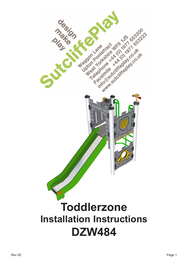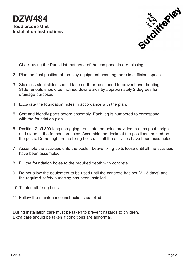

- 1 Check using the Parts List that none of the components are missing.
- 2 Plan the final position of the play equipment ensuring there is sufficient space.
- 3 Stainless steel slides should face north or be shaded to prevent over heating. Slide runouts should be inclined downwards by approximately 2 degrees for drainage purposes.
- 4 Excavate the foundation holes in accordance with the plan.
- 5 Sort and identify parts before assembly. Each leg is numbered to correspond with the foundation plan.
- 6 Position 2 off 300 long spragging irons into the holes provided in each post upright and stand in the foundation holes. Assemble the decks at the positions marked on the posts. Do not tighten the fixing bolts until all the activities have been assembled.
- 7 Assemble the activities onto the posts. Leave fixing bolts loose until all the activities have been assembled.
- 8 Fill the foundation holes to the required depth with concrete.
- 9 Do not allow the equipment to be used until the concrete has set (2 3 days) and the required safety surfacing has been installed.
- 10 Tighten all fixing bolts.
- 11 Follow the maintenance instructions supplied.

During installation care must be taken to prevent hazards to children. Extra care should be taken if conditions are abnormal.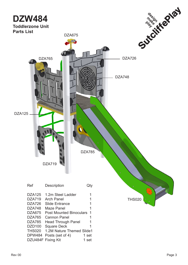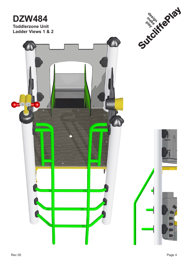## **DZW484 Toddlerzone Unit Ladder Views 1 & 2**